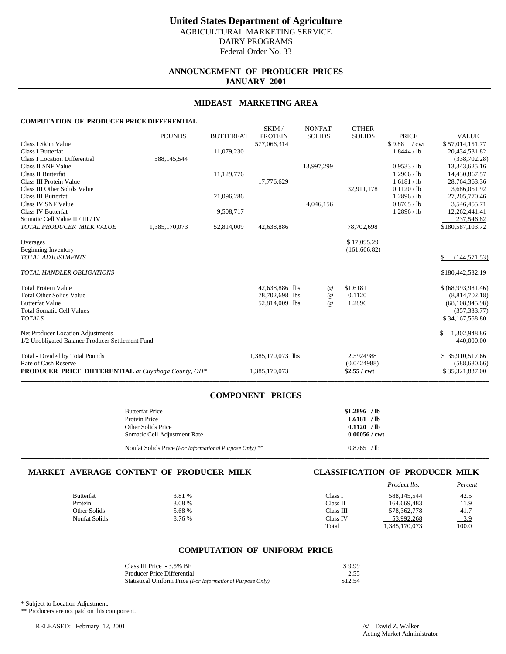# **ANNOUNCEMENT OF PRODUCER PRICES JANUARY 2001**

## **MIDEAST MARKETING AREA**

SKIM / NONEAT OTHER

### **COMPUTATION OF PRODUCER PRICE DIFFERENTIAL**

|                                                            |               |                  | <b>SIXIIVI</b>    | <b>IVOIVEAT</b>                 | <b>OTTLE</b> N |                |                     |
|------------------------------------------------------------|---------------|------------------|-------------------|---------------------------------|----------------|----------------|---------------------|
|                                                            | <b>POUNDS</b> | <b>BUTTERFAT</b> | <b>PROTEIN</b>    | <b>SOLIDS</b>                   | <b>SOLIDS</b>  | <b>PRICE</b>   | <b>VALUE</b>        |
| Class I Skim Value                                         |               |                  | 577,066,314       |                                 |                | \$9.88<br>/cwt | \$57,014,151.77     |
| Class I Butterfat                                          |               | 11,079,230       |                   |                                 |                | 1.8444 / lb    | 20,434,531.82       |
| <b>Class I Location Differential</b>                       | 588,145,544   |                  |                   |                                 |                |                | (338, 702.28)       |
| Class II SNF Value                                         |               |                  |                   | 13,997,299                      |                | 0.9533 / lb    | 13,343,625.16       |
| Class II Butterfat                                         |               | 11,129,776       |                   |                                 |                | 1.2966 / lb    | 14,430,867.57       |
| Class III Protein Value                                    |               |                  | 17,776,629        |                                 |                | 1.6181 / lb    | 28,764,363.36       |
| Class III Other Solids Value                               |               |                  |                   |                                 | 32,911,178     | 0.1120 / lb    | 3,686,051.92        |
| Class III Butterfat                                        |               | 21,096,286       |                   |                                 |                | 1.2896 / lb    | 27, 205, 770. 46    |
| Class IV SNF Value                                         |               |                  |                   | 4,046,156                       |                | 0.8765 / lb    | 3,546,455.71        |
| <b>Class IV Butterfat</b>                                  |               | 9,508,717        |                   |                                 |                | 1.2896 / lb    | 12,262,441.41       |
| Somatic Cell Value II / III / IV                           |               |                  |                   |                                 |                |                | 237,546.82          |
| TOTAL PRODUCER MILK VALUE                                  | 1,385,170,073 | 52,814,009       | 42,638,886        |                                 | 78,702,698     |                | \$180,587,103.72    |
| Overages                                                   |               |                  |                   |                                 | \$17,095.29    |                |                     |
| <b>Beginning Inventory</b>                                 |               |                  |                   |                                 | (161, 666.82)  |                |                     |
| <b>TOTAL ADJUSTMENTS</b>                                   |               |                  |                   |                                 |                |                | (144, 571.53)<br>\$ |
| <b>TOTAL HANDLER OBLIGATIONS</b>                           |               |                  |                   |                                 |                |                | \$180,442,532.19    |
| <b>Total Protein Value</b>                                 |               |                  | 42,638,886 lbs    | @                               | \$1.6181       |                | \$ (68,993,981.46)  |
| <b>Total Other Solids Value</b>                            |               |                  | 78,702,698 lbs    | $^{\scriptsize\textregistered}$ | 0.1120         |                | (8,814,702.18)      |
| <b>Butterfat Value</b>                                     |               |                  | 52,814,009 lbs    | $^{\omega}{}$                   | 1.2896         |                | (68, 108, 945.98)   |
| <b>Total Somatic Cell Values</b>                           |               |                  |                   |                                 |                |                | (357, 333.77)       |
| <b>TOTALS</b>                                              |               |                  |                   |                                 |                |                | \$34,167,568.80     |
| Net Producer Location Adjustments                          |               |                  |                   |                                 |                |                | 1,302,948.86<br>\$  |
| 1/2 Unobligated Balance Producer Settlement Fund           |               |                  |                   |                                 |                |                | 440,000.00          |
| Total - Divided by Total Pounds                            |               |                  | 1,385,170,073 lbs |                                 | 2.5924988      |                | \$35,910,517.66     |
| Rate of Cash Reserve                                       |               |                  |                   |                                 | (0.0424988)    |                | (588, 680.66)       |
| <b>PRODUCER PRICE DIFFERENTIAL</b> at Cuyahoga County, OH* |               |                  | 1,385,170,073     |                                 | \$2.55 / cwt   |                | \$35,321,837.00     |
|                                                            |               |                  |                   |                                 |                |                |                     |

# **COMPONENT PRICES**

| <b>Butterfat Price</b>                                  | $$1.2896$ /lb          |
|---------------------------------------------------------|------------------------|
| Protein Price                                           | 1.6181 / lb            |
| Other Solids Price                                      | 0.1120 / h             |
| Somatic Cell Adjustment Rate                            | $0.00056 / \text{cwt}$ |
| Nonfat Solids Price (For Informational Purpose Only) ** | 0.8765 / h             |

**\_\_\_\_\_\_\_\_\_\_\_\_\_\_\_\_\_\_\_\_\_\_\_\_\_\_\_\_\_\_\_\_\_\_\_\_\_\_\_\_\_\_\_\_\_\_\_\_\_\_\_\_\_\_\_\_\_\_\_\_\_\_\_\_\_\_\_\_\_\_\_\_\_\_\_\_\_\_\_\_\_\_\_\_\_\_\_\_\_\_\_\_\_\_\_\_\_\_\_\_\_\_\_\_\_\_\_\_\_\_\_\_\_\_\_\_\_\_\_\_\_\_\_\_\_\_\_\_\_\_\_\_\_\_\_\_\_\_\_**

# **MARKET AVERAGE CONTENT OF PRODUCER MILK CLASSIFICATION OF PRODUCER MILK**

|                  |        |           | Product lbs.  | Percent         |
|------------------|--------|-----------|---------------|-----------------|
| <b>Butterfat</b> | 3.81 % | Class I   | 588,145,544   | 42.5            |
| Protein          | 3.08 % | Class II  | 164,669,483   | 11.9            |
| Other Solids     | 5.68 % | Class III | 578, 362, 778 | 41.7            |
| Nonfat Solids    | 8.76 % | Class IV  | 53,992,268    | $\frac{3.9}{2}$ |
|                  |        | Total     | 1,385,170,073 | 100.0           |
|                  |        |           |               |                 |

# **COMPUTATION OF UNIFORM PRICE**

| Class III Price - 3.5% BF                                  | \$9.99  |
|------------------------------------------------------------|---------|
| Producer Price Differential                                | 2.55    |
| Statistical Uniform Price (For Informational Purpose Only) | \$12.54 |

\_\_\_\_\_\_\_\_\_\_\_\_ \* Subject to Location Adjustment.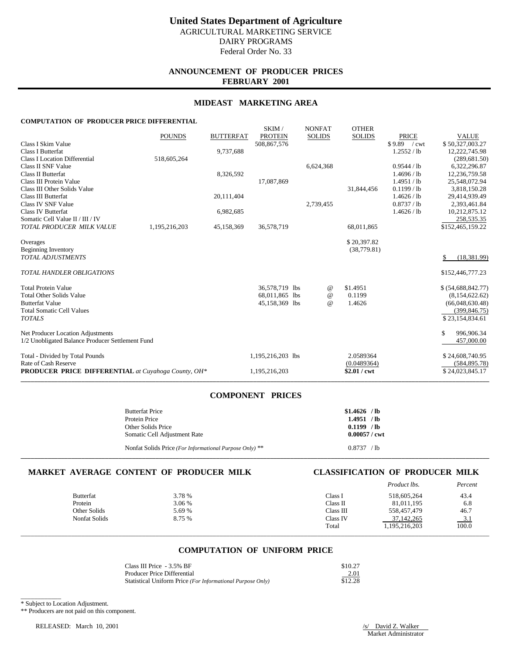# **ANNOUNCEMENT OF PRODUCER PRICES FEBRUARY 2001**

## **MIDEAST MARKETING AREA**

SKIM / NONEAT OTHER

# **COMPUTATION OF PRODUCER PRICE DIFFERENTIAL**

|                                                            |               |                  | <b>SIXIIVI</b>    | <b>IVOIVEAT</b> | <b>OTTLE</b> N |                |                    |
|------------------------------------------------------------|---------------|------------------|-------------------|-----------------|----------------|----------------|--------------------|
|                                                            | <b>POUNDS</b> | <b>BUTTERFAT</b> | <b>PROTEIN</b>    | <b>SOLIDS</b>   | <b>SOLIDS</b>  | <b>PRICE</b>   | <b>VALUE</b>       |
| Class I Skim Value                                         |               |                  | 508,867,576       |                 |                | \$9.89<br>/cwt | \$50,327,003.27    |
| Class I Butterfat                                          |               | 9,737,688        |                   |                 |                | 1.2552 / lb    | 12,222,745.98      |
| <b>Class I Location Differential</b>                       | 518,605,264   |                  |                   |                 |                |                | (289, 681.50)      |
| Class II SNF Value                                         |               |                  |                   | 6,624,368       |                | 0.9544 / lb    | 6,322,296.87       |
| Class II Butterfat                                         |               | 8,326,592        |                   |                 |                | 1.4696 / lb    | 12,236,759.58      |
| Class III Protein Value                                    |               |                  | 17,087,869        |                 |                | 1.4951 / lb    | 25,548,072.94      |
| Class III Other Solids Value                               |               |                  |                   |                 | 31,844,456     | $0.1199$ / lb  | 3,818,150.28       |
| <b>Class III Butterfat</b>                                 |               | 20,111,404       |                   |                 |                | 1.4626 / lb    | 29,414,939.49      |
| Class IV SNF Value                                         |               |                  |                   | 2,739,455       |                | 0.8737 / lb    | 2,393,461.84       |
| <b>Class IV Butterfat</b>                                  |               | 6,982,685        |                   |                 |                | 1.4626 / lb    | 10,212,875.12      |
| Somatic Cell Value II / III / IV                           |               |                  |                   |                 |                |                | 258,535.35         |
| TOTAL PRODUCER MILK VALUE                                  | 1,195,216,203 | 45,158,369       | 36,578,719        |                 | 68,011,865     |                | \$152,465,159.22   |
| Overages                                                   |               |                  |                   |                 | \$20,397.82    |                |                    |
| <b>Beginning Inventory</b>                                 |               |                  |                   |                 | (38, 779.81)   |                |                    |
| <b>TOTAL ADJUSTMENTS</b>                                   |               |                  |                   |                 |                |                | (18, 381.99)       |
| <b>TOTAL HANDLER OBLIGATIONS</b>                           |               |                  |                   |                 |                |                | \$152,446,777.23   |
| <b>Total Protein Value</b>                                 |               |                  | 36,578,719 lbs    | @               | \$1.4951       |                | \$ (54,688,842.77) |
| <b>Total Other Solids Value</b>                            |               |                  | 68,011,865 lbs    | $^{\omega}{}$   | 0.1199         |                | (8,154,622.62)     |
| <b>Butterfat Value</b>                                     |               |                  | 45,158,369 lbs    | $\omega$        | 1.4626         |                | (66,048,630.48)    |
| <b>Total Somatic Cell Values</b>                           |               |                  |                   |                 |                |                | (399, 846.75)      |
| <b>TOTALS</b>                                              |               |                  |                   |                 |                |                | \$23,154,834.61    |
| Net Producer Location Adjustments                          |               |                  |                   |                 |                |                | \$<br>996,906.34   |
| 1/2 Unobligated Balance Producer Settlement Fund           |               |                  |                   |                 |                |                | 457,000.00         |
| Total - Divided by Total Pounds                            |               |                  | 1,195,216,203 lbs |                 | 2.0589364      |                | \$24,608,740.95    |
| Rate of Cash Reserve                                       |               |                  |                   |                 | (0.0489364)    |                | (584, 895.78)      |
| <b>PRODUCER PRICE DIFFERENTIAL</b> at Cuyahoga County, OH* |               |                  | 1,195,216,203     |                 | \$2.01 / cwt   |                | \$24,023,845.17    |
|                                                            |               |                  |                   |                 |                |                |                    |

# **COMPONENT PRICES**

| <b>Butterfat Price</b>                                  | $$1.4626$ /lb   |
|---------------------------------------------------------|-----------------|
| Protein Price                                           | $1.4951$ /lb    |
| Other Solids Price                                      | 0.1199 / h      |
| Somatic Cell Adjustment Rate                            | $0.00057 /$ cwt |
| Nonfat Solids Price (For Informational Purpose Only) ** | 0.8737 / h      |

**\_\_\_\_\_\_\_\_\_\_\_\_\_\_\_\_\_\_\_\_\_\_\_\_\_\_\_\_\_\_\_\_\_\_\_\_\_\_\_\_\_\_\_\_\_\_\_\_\_\_\_\_\_\_\_\_\_\_\_\_\_\_\_\_\_\_\_\_\_\_\_\_\_\_\_\_\_\_\_\_\_\_\_\_\_\_\_\_\_\_\_\_\_\_\_\_\_\_\_\_\_\_\_\_\_\_\_\_\_\_\_\_\_\_\_\_\_\_\_\_\_\_\_\_\_\_\_\_\_\_\_\_\_\_\_\_\_\_\_**

# **MARKET AVERAGE CONTENT OF PRODUCER MILK CLASSIFICATION OF PRODUCER MILK**

|               |        |           | Product lbs.  | Percent |
|---------------|--------|-----------|---------------|---------|
| Butterfat     | 3.78 % | Class I   | 518,605,264   | 43.4    |
| Protein       | 3.06 % | Class II  | 81,011,195    | 6.8     |
| Other Solids  | 5.69 % | Class III | 558,457,479   | 46.7    |
| Nonfat Solids | 8.75 % | Class IV  | 37, 142, 265  | 3.1     |
|               |        | Total     | 1,195,216,203 | 100.0   |
|               |        |           |               |         |

# **COMPUTATION OF UNIFORM PRICE**

| Class III Price - 3.5% BF                                  | \$10.27 |
|------------------------------------------------------------|---------|
| <b>Producer Price Differential</b>                         | 2.01    |
| Statistical Uniform Price (For Informational Purpose Only) | \$12.28 |

\_\_\_\_\_\_\_\_\_\_\_\_ \* Subject to Location Adjustment.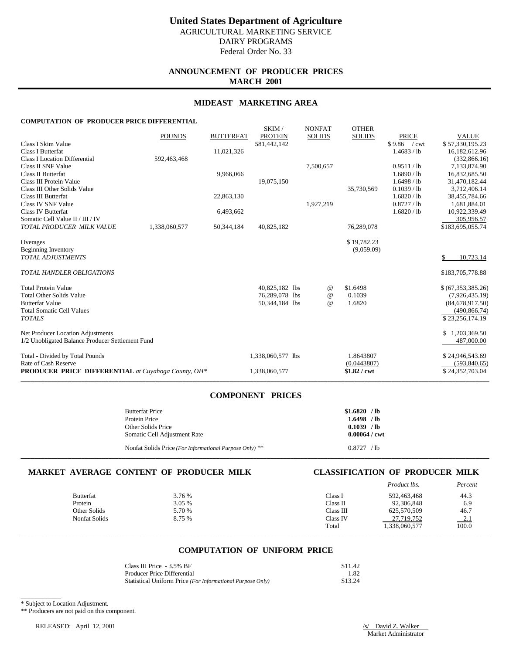# **ANNOUNCEMENT OF PRODUCER PRICES MARCH 2001**

## **MIDEAST MARKETING AREA**

SKIM / NONFAT OTHER

# **COMPUTATION OF PRODUCER PRICE DIFFERENTIAL**

|                                                            | <b>POUNDS</b> | <b>BUTTERFAT</b> | OIYUVI /<br><b>PROTEIN</b> | <b>IVUITLAI</b><br><b>SOLIDS</b> | $\sigma$ is the independent<br><b>SOLIDS</b> | <b>PRICE</b>  | <b>VALUE</b>       |
|------------------------------------------------------------|---------------|------------------|----------------------------|----------------------------------|----------------------------------------------|---------------|--------------------|
| Class I Skim Value                                         |               |                  | 581,442,142                |                                  |                                              | $$9.86$ / cwt | \$57,330,195.23    |
| <b>Class I Butterfat</b>                                   |               | 11,021,326       |                            |                                  |                                              | 1.4683 / lb   | 16,182,612.96      |
| <b>Class I Location Differential</b>                       | 592,463,468   |                  |                            |                                  |                                              |               | (332, 866.16)      |
| Class II SNF Value                                         |               |                  |                            | 7,500,657                        |                                              | 0.9511 / lb   | 7,133,874.90       |
| <b>Class II Butterfat</b>                                  |               | 9,966,066        |                            |                                  |                                              | 1.6890 / lb   | 16,832,685.50      |
| Class III Protein Value                                    |               |                  | 19,075,150                 |                                  |                                              | 1.6498 / lb   | 31,470,182.44      |
| Class III Other Solids Value                               |               |                  |                            |                                  | 35,730,569                                   | 0.1039 / lb   | 3,712,406.14       |
| Class III Butterfat                                        |               | 22,863,130       |                            |                                  |                                              | 1.6820 / lb   | 38,455,784.66      |
| Class IV SNF Value                                         |               |                  |                            | 1,927,219                        |                                              | 0.8727 / lb   | 1,681,884.01       |
| <b>Class IV Butterfat</b>                                  |               | 6,493,662        |                            |                                  |                                              | 1.6820 / lb   | 10,922,339.49      |
| Somatic Cell Value II / III / IV                           |               |                  |                            |                                  |                                              |               | 305,956.57         |
| TOTAL PRODUCER MILK VALUE                                  | 1,338,060,577 | 50,344,184       | 40,825,182                 |                                  | 76,289,078                                   |               | \$183,695,055.74   |
| Overages                                                   |               |                  |                            |                                  | \$19,782.23                                  |               |                    |
| <b>Beginning Inventory</b>                                 |               |                  |                            |                                  | (9,059.09)                                   |               |                    |
| <b>TOTAL ADJUSTMENTS</b>                                   |               |                  |                            |                                  |                                              |               | 10,723.14          |
| <b>TOTAL HANDLER OBLIGATIONS</b>                           |               |                  |                            |                                  |                                              |               | \$183,705,778.88   |
| <b>Total Protein Value</b>                                 |               |                  | 40,825,182 lbs             | @                                | \$1.6498                                     |               | \$ (67,353,385.26) |
| <b>Total Other Solids Value</b>                            |               |                  | 76,289,078 lbs             | $^{\omega}{}$                    | 0.1039                                       |               | (7,926,435,19)     |
| <b>Butterfat Value</b>                                     |               |                  | 50,344,184 lbs             | $\omega$                         | 1.6820                                       |               | (84,678,917.50)    |
| <b>Total Somatic Cell Values</b>                           |               |                  |                            |                                  |                                              |               | (490, 866.74)      |
| <b>TOTALS</b>                                              |               |                  |                            |                                  |                                              |               | \$23,256,174.19    |
| Net Producer Location Adjustments                          |               |                  |                            |                                  |                                              |               | \$1,203,369.50     |
| 1/2 Unobligated Balance Producer Settlement Fund           |               |                  |                            |                                  |                                              |               | 487,000.00         |
| Total - Divided by Total Pounds                            |               |                  | 1,338,060,577 lbs          |                                  | 1.8643807                                    |               | \$24,946,543.69    |
| Rate of Cash Reserve                                       |               |                  |                            |                                  | (0.0443807)                                  |               | (593, 840.65)      |
| <b>PRODUCER PRICE DIFFERENTIAL</b> at Cuyahoga County, OH* |               |                  | 1,338,060,577              |                                  | $$1.82$ / cwt                                |               | \$24,352,703.04    |
|                                                            |               |                  |                            |                                  |                                              |               |                    |

# **COMPONENT PRICES**

| <b>Butterfat Price</b>                                  | $$1.6820$ /lb          |
|---------------------------------------------------------|------------------------|
| Protein Price                                           | $1.6498$ / lb          |
| Other Solids Price                                      | $0.1039$ /lb           |
| Somatic Cell Adjustment Rate                            | $0.00064 / \text{cwt}$ |
| Nonfat Solids Price (For Informational Purpose Only) ** | 0.8727 / h             |

**\_\_\_\_\_\_\_\_\_\_\_\_\_\_\_\_\_\_\_\_\_\_\_\_\_\_\_\_\_\_\_\_\_\_\_\_\_\_\_\_\_\_\_\_\_\_\_\_\_\_\_\_\_\_\_\_\_\_\_\_\_\_\_\_\_\_\_\_\_\_\_\_\_\_\_\_\_\_\_\_\_\_\_\_\_\_\_\_\_\_\_\_\_\_\_\_\_\_\_\_\_\_\_\_\_\_\_\_\_\_\_\_\_\_\_\_\_\_\_\_\_\_\_\_\_\_\_\_\_\_\_\_\_\_\_\_\_\_\_**

# **MARKET AVERAGE CONTENT OF PRODUCER MILK CLASSIFICATION OF PRODUCER MILK**

|                  |        |           | Product lbs.  | Percent |
|------------------|--------|-----------|---------------|---------|
| <b>Butterfat</b> | 3.76 % | Class I   | 592,463,468   | 44.3    |
| Protein          | 3.05 % | Class II  | 92,306,848    | 6.9     |
| Other Solids     | 5.70 % | Class III | 625,570,509   | 46.7    |
| Nonfat Solids    | 8.75 % | Class IV  | 27,719,752    | $-2.1$  |
|                  |        | Total     | 1,338,060,577 | 100.0   |
|                  |        |           |               |         |

# **COMPUTATION OF UNIFORM PRICE**

| Class III Price - 3.5% BF                                  | \$11.42 |
|------------------------------------------------------------|---------|
| <b>Producer Price Differential</b>                         | 1.82    |
| Statistical Uniform Price (For Informational Purpose Only) | \$13.24 |

\_\_\_\_\_\_\_\_\_\_\_\_ \* Subject to Location Adjustment.

\*\* Producers are not paid on this component.

RELEASED: April 12, 2001 /s/ David Z. Walker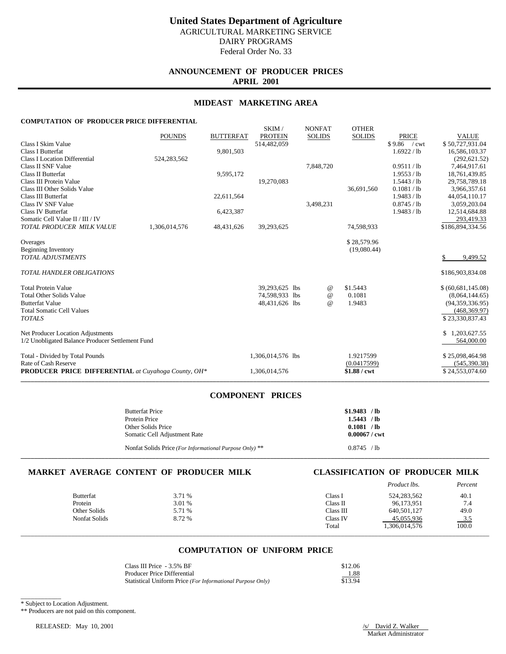# **ANNOUNCEMENT OF PRODUCER PRICES APRIL 2001**

## **MIDEAST MARKETING AREA**

SKIM / NONFAT OTHER

# **COMPUTATION OF PRODUCER PRICE DIFFERENTIAL**

| <b>SOLIDS</b><br>514,482,059<br>$$9.86$ / cwt<br>Class I Skim Value<br><b>Class I Butterfat</b><br>9,801,503<br>1.6922 / lb<br><b>Class I Location Differential</b><br>524,283,562 | \$50,727,931.04<br>16,586,103.37<br>(292, 621.52)<br>7,464,917.61 |
|------------------------------------------------------------------------------------------------------------------------------------------------------------------------------------|-------------------------------------------------------------------|
|                                                                                                                                                                                    |                                                                   |
|                                                                                                                                                                                    |                                                                   |
|                                                                                                                                                                                    |                                                                   |
| Class II SNF Value<br>0.9511 / lb<br>7,848,720                                                                                                                                     |                                                                   |
| <b>Class II Butterfat</b><br>1.9553 / lb<br>9,595,172                                                                                                                              | 18,761,439.85                                                     |
| Class III Protein Value<br>19,270,083<br>1.5443 / lb                                                                                                                               | 29,758,789.18                                                     |
| Class III Other Solids Value<br>0.1081 / lb<br>36,691,560                                                                                                                          | 3,966,357.61                                                      |
| Class III Butterfat<br>1.9483 / lb<br>22,611,564                                                                                                                                   | 44,054,110.17                                                     |
| Class IV SNF Value<br>3,498,231<br>0.8745 / lb                                                                                                                                     | 3,059,203.04                                                      |
| <b>Class IV Butterfat</b><br>1.9483 / lb<br>6,423,387                                                                                                                              | 12,514,684.88                                                     |
| Somatic Cell Value II / III / IV                                                                                                                                                   | 293,419.33                                                        |
| TOTAL PRODUCER MILK VALUE<br>1,306,014,576<br>39,293,625<br>48,431,626<br>74,598,933                                                                                               | \$186,894,334.56                                                  |
| \$28,579.96<br>Overages                                                                                                                                                            |                                                                   |
| <b>Beginning Inventory</b><br>(19,080.44)                                                                                                                                          |                                                                   |
| <b>TOTAL ADJUSTMENTS</b>                                                                                                                                                           | 9,499.52                                                          |
| <b>TOTAL HANDLER OBLIGATIONS</b>                                                                                                                                                   | \$186,903,834.08                                                  |
| <b>Total Protein Value</b><br>39,293,625 lbs<br>\$1.5443<br>@                                                                                                                      | \$ (60,681,145.08)                                                |
| <b>Total Other Solids Value</b><br>74,598,933 lbs<br>0.1081<br>$^{\omega}{}$                                                                                                       | (8,064,144.65)                                                    |
| 1.9483<br><b>Butterfat Value</b><br>48,431,626 lbs<br>$\omega$                                                                                                                     | (94, 359, 336.95)                                                 |
| <b>Total Somatic Cell Values</b>                                                                                                                                                   | (468, 369.97)                                                     |
| <b>TOTALS</b>                                                                                                                                                                      | \$23,330,837.43                                                   |
| Net Producer Location Adjustments                                                                                                                                                  | \$1,203,627.55                                                    |
| 1/2 Unobligated Balance Producer Settlement Fund                                                                                                                                   | 564,000.00                                                        |
| 1.9217599<br>Total - Divided by Total Pounds<br>1,306,014,576 lbs                                                                                                                  | \$25,098,464.98                                                   |
| Rate of Cash Reserve<br>(0.0417599)                                                                                                                                                | (545, 390.38)                                                     |
| \$1.88 / cwt<br><b>PRODUCER PRICE DIFFERENTIAL</b> at Cuyahoga County, OH*<br>1,306,014,576                                                                                        | \$24,553,074.60                                                   |

# **COMPONENT PRICES**

| <b>Butterfat Price</b>                                  | $$1.9483$ /lb   |
|---------------------------------------------------------|-----------------|
| Protein Price                                           | $1.5443$ / lb   |
| Other Solids Price                                      | 0.1081 / h      |
| Somatic Cell Adjustment Rate                            | $0.00067 /$ cwt |
| Nonfat Solids Price (For Informational Purpose Only) ** | 0.8745 / h      |

**\_\_\_\_\_\_\_\_\_\_\_\_\_\_\_\_\_\_\_\_\_\_\_\_\_\_\_\_\_\_\_\_\_\_\_\_\_\_\_\_\_\_\_\_\_\_\_\_\_\_\_\_\_\_\_\_\_\_\_\_\_\_\_\_\_\_\_\_\_\_\_\_\_\_\_\_\_\_\_\_\_\_\_\_\_\_\_\_\_\_\_\_\_\_\_\_\_\_\_\_\_\_\_\_\_\_\_\_\_\_\_\_\_\_\_\_\_\_\_\_\_\_\_\_\_\_\_\_\_\_\_\_\_\_\_\_\_\_\_**

# **MARKET AVERAGE CONTENT OF PRODUCER MILK CLASSIFICATION OF PRODUCER MILK**

|                  |        |           | Product lbs.  | Percent |
|------------------|--------|-----------|---------------|---------|
| <b>Butterfat</b> | 3.71 % | Class I   | 524, 283, 562 | 40.1    |
| Protein          | 3.01 % | Class II  | 96,173,951    | 7.4     |
| Other Solids     | 5.71 % | Class III | 640,501,127   | 49.0    |
| Nonfat Solids    | 8.72 % | Class IV  | 45,055,936    | $-3.5$  |
|                  |        | Total     | 1,306,014,576 | 100.0   |
|                  |        |           |               |         |

# **COMPUTATION OF UNIFORM PRICE**

| Class III Price - 3.5% BF                                  | \$12.06 |
|------------------------------------------------------------|---------|
| Producer Price Differential                                | 1.88    |
| Statistical Uniform Price (For Informational Purpose Only) | \$13.94 |

\_\_\_\_\_\_\_\_\_\_\_\_ \* Subject to Location Adjustment.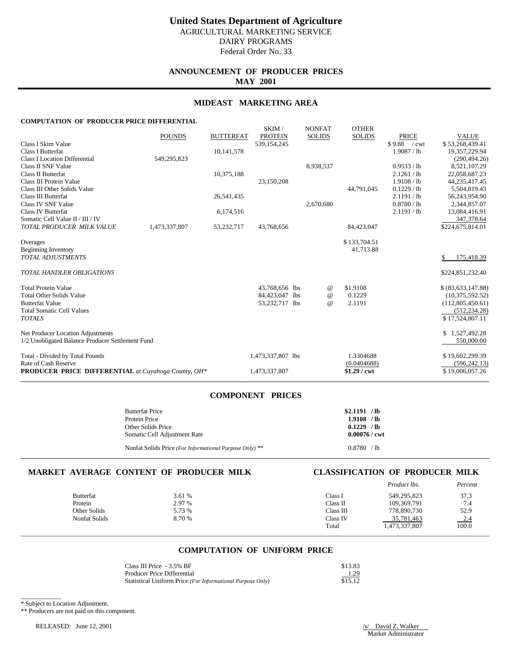Federal Order No. 33

# **ANNOUNCEMENT OF PRODUCER PRICES MAY 2001**

## **MIDEAST MARKETING AREA**

SKIM / NONFAT OTHER

### **COMPUTATION OF PRODUCER PRICE DIFFERENTIAL**

|                                                            | <b>POUNDS</b> | <b>BUTTERFAT</b> | <b>PROTEIN</b>    | <b>SOLIDS</b> | <b>SOLIDS</b> | <b>PRICE</b>      | <b>VALUE</b>       |
|------------------------------------------------------------|---------------|------------------|-------------------|---------------|---------------|-------------------|--------------------|
| Class I Skim Value                                         |               |                  | 539,154,245       |               |               | \$9.88<br>$/$ cwt | \$53,268,439.41    |
| <b>Class I Butterfat</b>                                   |               | 10,141,578       |                   |               |               | 1.9087 / lb       | 19,357,229.94      |
| <b>Class I Location Differential</b>                       | 549,295,823   |                  |                   |               |               |                   | (290, 494.26)      |
| Class II SNF Value                                         |               |                  |                   | 8,938,537     |               | 0.9533 / lb       | 8,521,107.29       |
| Class II Butterfat                                         |               | 10,375,188       |                   |               |               | 2.1261 / lb       | 22,058,687.23      |
| Class III Protein Value                                    |               |                  | 23,150,208        |               |               | 1.9108 / lb       | 44,235,417.45      |
| Class III Other Solids Value                               |               |                  |                   |               | 44.791.045    | $0.1229$ / lb     | 5,504,819.43       |
| Class III Butterfat                                        |               | 26,541,435       |                   |               |               | 2.1191 / lb       | 56,243,954.90      |
| Class IV SNF Value                                         |               |                  |                   | 2,670,680     |               | 0.8780 / lb       | 2,344,857.07       |
| <b>Class IV Butterfat</b>                                  |               | 6,174,516        |                   |               |               | 2.1191 / lb       | 13,084,416.91      |
| Somatic Cell Value II / III / IV                           |               |                  |                   |               |               |                   | 347,378.64         |
| TOTAL PRODUCER MILK VALUE                                  | 1,473,337,807 | 53,232,717       | 43,768,656        |               | 84,423,047    |                   | \$224,675,814.01   |
| Overages                                                   |               |                  |                   |               | \$133,704.51  |                   |                    |
| <b>Beginning Inventory</b>                                 |               |                  |                   |               | 41,713.88     |                   |                    |
| <b>TOTAL ADJUSTMENTS</b>                                   |               |                  |                   |               |               |                   | \$<br>175,418.39   |
| <b>TOTAL HANDLER OBLIGATIONS</b>                           |               |                  |                   |               |               |                   | \$224,851,232.40   |
| <b>Total Protein Value</b>                                 |               |                  | 43,768,656 lbs    | @             | \$1.9108      |                   | \$ (83,633,147.88) |
| <b>Total Other Solids Value</b>                            |               |                  | 84,423,047 lbs    | @             | 0.1229        |                   | (10, 375, 592.52)  |
| <b>Butterfat Value</b>                                     |               |                  | 53,232,717 lbs    | $^{\omega}{}$ | 2.1191        |                   | (112,805,450.61)   |
| <b>Total Somatic Cell Values</b>                           |               |                  |                   |               |               |                   | (512, 234.28)      |
| <b>TOTALS</b>                                              |               |                  |                   |               |               |                   | \$17,524,807.11    |
| Net Producer Location Adjustments                          |               |                  |                   |               |               |                   | \$1,527,492.28     |
| 1/2 Unobligated Balance Producer Settlement Fund           |               |                  |                   |               |               |                   | 550,000.00         |
| Total - Divided by Total Pounds                            |               |                  | 1,473,337,807 lbs |               | 1.3304688     |                   | \$19,602,299.39    |
| Rate of Cash Reserve                                       |               |                  |                   |               | (0.0404688)   |                   | (596, 242.13)      |
| <b>PRODUCER PRICE DIFFERENTIAL</b> at Cuyahoga County, OH* |               |                  | 1,473,337,807     |               | $$1.29$ / cwt |                   | \$19,006,057.26    |
|                                                            |               |                  |                   |               |               |                   |                    |

## **COMPONENT PRICES**

| <b>Butterfat Price</b>                                  | \$2.1191 / lb   |
|---------------------------------------------------------|-----------------|
| Protein Price                                           | 1.9108 / h      |
| Other Solids Price                                      | $0.1229$ /lb    |
| Somatic Cell Adjustment Rate                            | $0.00076 /$ cwt |
| Nonfat Solids Price (For Informational Purpose Only) ** | 0.8780 / h      |

**\_\_\_\_\_\_\_\_\_\_\_\_\_\_\_\_\_\_\_\_\_\_\_\_\_\_\_\_\_\_\_\_\_\_\_\_\_\_\_\_\_\_\_\_\_\_\_\_\_\_\_\_\_\_\_\_\_\_\_\_\_\_\_\_\_\_\_\_\_\_\_\_\_\_\_\_\_\_\_\_\_\_\_\_\_\_\_\_\_\_\_\_\_\_\_\_\_\_\_\_\_\_\_\_\_\_\_\_\_\_\_\_\_\_\_\_\_\_\_\_\_\_\_\_\_\_\_\_\_\_\_\_\_\_\_\_\_\_\_**

# **MARKET AVERAGE CONTENT OF PRODUCER MILK CLASSIFICATION OF PRODUCER MILK**

|                  |        |           | Product lbs.  | Percent |
|------------------|--------|-----------|---------------|---------|
| <b>Butterfat</b> | 3.61 % | Class I   | 549,295,823   | 37.3    |
| Protein          | 2.97 % | Class II  | 109,369,791   | 7.4     |
| Other Solids     | 5.73 % | Class III | 778,890,730   | 52.9    |
| Nonfat Solids    | 8.70 % | Class IV  | 35,781,463    | $-2.4$  |
|                  |        | Total     | 1,473,337,807 | 100.0   |
|                  |        |           |               |         |

# **COMPUTATION OF UNIFORM PRICE**

| Class III Price - 3.5% BF                                  | \$13.83 |
|------------------------------------------------------------|---------|
| <b>Producer Price Differential</b>                         | 1.29    |
| Statistical Uniform Price (For Informational Purpose Only) | \$15.12 |

\_\_\_\_\_\_\_\_\_\_\_\_ \* Subject to Location Adjustment.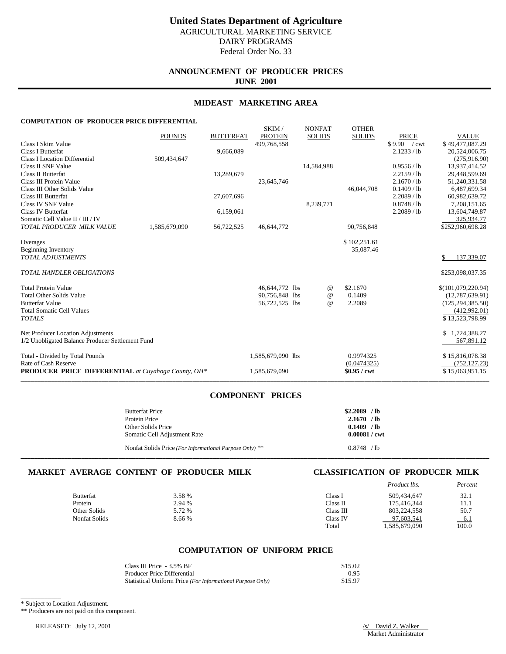# **ANNOUNCEMENT OF PRODUCER PRICES JUNE 2001**

## **MIDEAST MARKETING AREA**

SKIM / NONFAT OTHER

# **COMPUTATION OF PRODUCER PRICE DIFFERENTIAL**

|                                                            | <b>POUNDS</b> | <b>BUTTERFAT</b> | <b>PROTEIN</b>    | <b>SOLIDS</b> | <b>SOLIDS</b> | <b>PRICE</b>  | <b>VALUE</b>       |
|------------------------------------------------------------|---------------|------------------|-------------------|---------------|---------------|---------------|--------------------|
| Class I Skim Value                                         |               |                  | 499.768.558       |               |               | \$9.90 / cwt  | \$49,477,087.29    |
| <b>Class I Butterfat</b>                                   |               | 9,666,089        |                   |               |               | 2.1233 / lb   | 20,524,006.75      |
| <b>Class I Location Differential</b>                       | 509,434,647   |                  |                   |               |               |               | (275, 916.90)      |
| Class II SNF Value                                         |               |                  |                   | 14,584,988    |               | 0.9556 / lb   | 13,937,414.52      |
| <b>Class II Butterfat</b>                                  |               | 13,289,679       |                   |               |               | $2.2159$ / lb | 29,448,599.69      |
| Class III Protein Value                                    |               |                  | 23,645,746        |               |               | 2.1670 / lb   | 51,240,331.58      |
| Class III Other Solids Value                               |               |                  |                   |               | 46,044,708    | 0.1409 / lb   | 6,487,699.34       |
| Class III Butterfat                                        |               | 27,607,696       |                   |               |               | 2.2089 / lb   | 60,982,639.72      |
| Class IV SNF Value                                         |               |                  |                   | 8,239,771     |               | 0.8748 / lb   | 7,208,151.65       |
| <b>Class IV Butterfat</b>                                  |               | 6,159,061        |                   |               |               | 2.2089 / lb   | 13,604,749.87      |
| Somatic Cell Value II / III / IV                           |               |                  |                   |               |               |               | 325,934.77         |
| TOTAL PRODUCER MILK VALUE                                  | 1,585,679,090 | 56,722,525       | 46,644,772        |               | 90,756,848    |               | \$252,960,698.28   |
| Overages                                                   |               |                  |                   |               | \$102,251.61  |               |                    |
| <b>Beginning Inventory</b>                                 |               |                  |                   |               | 35,087.46     |               |                    |
| <b>TOTAL ADJUSTMENTS</b>                                   |               |                  |                   |               |               |               | 137,339.07<br>\$   |
| TOTAL HANDLER OBLIGATIONS                                  |               |                  |                   |               |               |               | \$253,098,037.35   |
| <b>Total Protein Value</b>                                 |               |                  | 46,644,772 lbs    | @             | \$2.1670      |               | \$(101,079,220.94) |
| <b>Total Other Solids Value</b>                            |               |                  | 90,756,848 lbs    | $^{\omega}{}$ | 0.1409        |               | (12,787,639.91)    |
| <b>Butterfat Value</b>                                     |               |                  | 56,722,525 lbs    | $\omega$      | 2.2089        |               | (125, 294, 385.50) |
| <b>Total Somatic Cell Values</b>                           |               |                  |                   |               |               |               | (412,992.01)       |
| <b>TOTALS</b>                                              |               |                  |                   |               |               |               | \$13,523,798.99    |
| Net Producer Location Adjustments                          |               |                  |                   |               |               |               | \$1,724,388.27     |
| 1/2 Unobligated Balance Producer Settlement Fund           |               |                  |                   |               |               |               | 567,891.12         |
| Total - Divided by Total Pounds                            |               |                  | 1,585,679,090 lbs |               | 0.9974325     |               | \$15,816,078.38    |
| Rate of Cash Reserve                                       |               |                  |                   |               | (0.0474325)   |               | (752, 127.23)      |
| <b>PRODUCER PRICE DIFFERENTIAL</b> at Cuyahoga County, OH* |               |                  | 1,585,679,090     |               | $$0.95 /$ cwt |               | \$15,063,951.15    |
|                                                            |               |                  |                   |               |               |               |                    |

## **COMPONENT PRICES**

| <b>Butterfat Price</b>                                  | $$2,2089$ /lb          |
|---------------------------------------------------------|------------------------|
| Protein Price                                           | $2.1670$ /lb           |
| Other Solids Price                                      | $0.1409$ /lb           |
| Somatic Cell Adjustment Rate                            | $0.00081 / \text{cwt}$ |
| Nonfat Solids Price (For Informational Purpose Only) ** | 0.8748 / h             |

**\_\_\_\_\_\_\_\_\_\_\_\_\_\_\_\_\_\_\_\_\_\_\_\_\_\_\_\_\_\_\_\_\_\_\_\_\_\_\_\_\_\_\_\_\_\_\_\_\_\_\_\_\_\_\_\_\_\_\_\_\_\_\_\_\_\_\_\_\_\_\_\_\_\_\_\_\_\_\_\_\_\_\_\_\_\_\_\_\_\_\_\_\_\_\_\_\_\_\_\_\_\_\_\_\_\_\_\_\_\_\_\_\_\_\_\_\_\_\_\_\_\_\_\_\_\_\_\_\_\_\_\_\_\_\_\_\_\_\_**

# **MARKET AVERAGE CONTENT OF PRODUCER MILK CLASSIFICATION OF PRODUCER MILK**

|                  |        |           | Product lbs.  | Percent |
|------------------|--------|-----------|---------------|---------|
| <b>Butterfat</b> | 3.58 % | Class I   | 509,434,647   | 32.1    |
| Protein          | 2.94 % | Class II  | 175,416,344   | 11.1    |
| Other Solids     | 5.72 % | Class III | 803,224,558   | 50.7    |
| Nonfat Solids    | 8.66%  | Class IV  | 97,603,541    | 6.1     |
|                  |        | Total     | 1,585,679,090 | 100.0   |
|                  |        |           |               |         |

# **COMPUTATION OF UNIFORM PRICE**

| Class III Price - 3.5% BF                                  | \$15.02 |
|------------------------------------------------------------|---------|
| Producer Price Differential                                | 0.95    |
| Statistical Uniform Price (For Informational Purpose Only) | \$15.97 |

\_\_\_\_\_\_\_\_\_\_\_\_ \* Subject to Location Adjustment.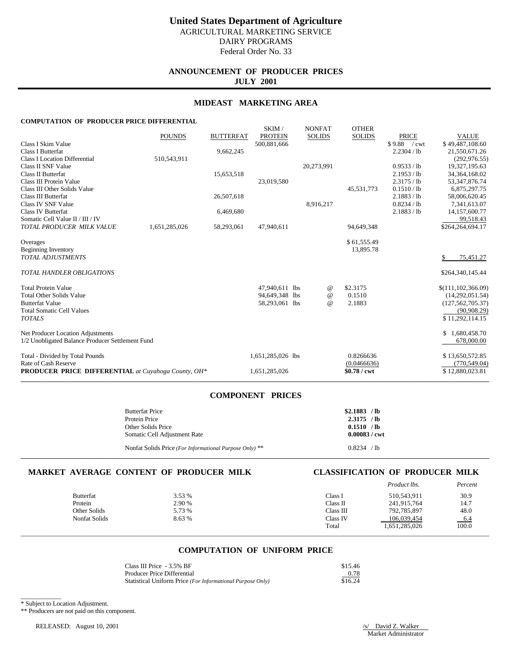Federal Order No. 33

# **ANNOUNCEMENT OF PRODUCER PRICES JULY 2001**

## **MIDEAST MARKETING AREA**

SKIM / NONFAT OTHER

### **COMPUTATION OF PRODUCER PRICE DIFFERENTIAL**

|                                                            | <b>POUNDS</b> | <b>BUTTERFAT</b> | <b>PROTEIN</b>    | <b>SOLIDS</b> | <b>SOLIDS</b> | <b>PRICE</b> | <b>VALUE</b>         |
|------------------------------------------------------------|---------------|------------------|-------------------|---------------|---------------|--------------|----------------------|
| Class I Skim Value                                         |               |                  | 500,881,666       |               |               | \$9.88 / cwt | \$49,487,108.60      |
| <b>Class I Butterfat</b>                                   |               | 9,662,245        |                   |               |               | 2.2304 / lb  | 21,550,671.26        |
| <b>Class I Location Differential</b>                       | 510,543,911   |                  |                   |               |               |              | (292, 976.55)        |
| Class II SNF Value                                         |               |                  |                   | 20,273,991    |               | 0.9533 / lb  | 19,327,195.63        |
| <b>Class II Butterfat</b>                                  |               | 15,653,518       |                   |               |               | 2.1953 / lb  | 34, 364, 168.02      |
| Class III Protein Value                                    |               |                  | 23,019,580        |               |               | 2.3175 / lb  | 53, 347, 876. 74     |
| Class III Other Solids Value                               |               |                  |                   |               | 45,531,773    | 0.1510 / lb  | 6,875,297.75         |
| Class III Butterfat                                        |               | 26,507,618       |                   |               |               | 2.1883 / lb  | 58,006,620.45        |
| Class IV SNF Value                                         |               |                  |                   | 8,916,217     |               | 0.8234 / lb  | 7,341,613.07         |
| <b>Class IV Butterfat</b>                                  |               | 6,469,680        |                   |               |               | 2.1883 / lb  | 14,157,600.77        |
| Somatic Cell Value II / III / IV                           |               |                  |                   |               |               |              | 99,518.43            |
| TOTAL PRODUCER MILK VALUE                                  | 1,651,285,026 | 58,293,061       | 47,940,611        |               | 94,649,348    |              | \$264,264,694.17     |
| Overages                                                   |               |                  |                   |               | \$61,555.49   |              |                      |
| <b>Beginning Inventory</b>                                 |               |                  |                   |               | 13,895.78     |              |                      |
| <b>TOTAL ADJUSTMENTS</b>                                   |               |                  |                   |               |               |              | 75,451.27            |
| TOTAL HANDLER OBLIGATIONS                                  |               |                  |                   |               |               |              | \$264,340,145.44     |
| <b>Total Protein Value</b>                                 |               |                  | 47,940,611 lbs    | @             | \$2.3175      |              | \$(111, 102, 366.09) |
| <b>Total Other Solids Value</b>                            |               |                  | 94,649,348 lbs    | $\omega$      | 0.1510        |              | (14,292,051.54)      |
| <b>Butterfat Value</b>                                     |               |                  | 58,293,061 lbs    | $\omega$      | 2.1883        |              | (127, 562, 705.37)   |
| <b>Total Somatic Cell Values</b>                           |               |                  |                   |               |               |              | (90, 908.29)         |
| <b>TOTALS</b>                                              |               |                  |                   |               |               |              | \$11,292,114.15      |
| Net Producer Location Adjustments                          |               |                  |                   |               |               |              | \$<br>1,680,458.70   |
| 1/2 Unobligated Balance Producer Settlement Fund           |               |                  |                   |               |               |              | 678,000.00           |
| Total - Divided by Total Pounds                            |               |                  | 1,651,285,026 lbs |               | 0.8266636     |              | \$13,650,572.85      |
| Rate of Cash Reserve                                       |               |                  |                   |               | (0.0466636)   |              | (770, 549.04)        |
| <b>PRODUCER PRICE DIFFERENTIAL</b> at Cuyahoga County, OH* |               |                  | 1,651,285,026     |               | \$0.78 / cwt  |              | \$12,880,023.81      |
|                                                            |               |                  |                   |               |               |              |                      |

# **COMPONENT PRICES**

| <b>Butterfat Price</b><br>Protein Price<br>Other Solids Price | $$2.1883$ /lb<br>$2.3175$ /lb<br>0.1510 / h |
|---------------------------------------------------------------|---------------------------------------------|
| Somatic Cell Adjustment Rate                                  | $0.00083 / \text{cwt}$                      |
| Nonfat Solids Price (For Informational Purpose Only) **       | 0.8234 / h                                  |

**\_\_\_\_\_\_\_\_\_\_\_\_\_\_\_\_\_\_\_\_\_\_\_\_\_\_\_\_\_\_\_\_\_\_\_\_\_\_\_\_\_\_\_\_\_\_\_\_\_\_\_\_\_\_\_\_\_\_\_\_\_\_\_\_\_\_\_\_\_\_\_\_\_\_\_\_\_\_\_\_\_\_\_\_\_\_\_\_\_\_\_\_\_\_\_\_\_\_\_\_\_\_\_\_\_\_\_\_\_\_\_\_\_\_\_\_\_\_\_\_\_\_\_\_\_\_\_\_\_\_\_\_\_\_\_\_\_\_\_**

# **MARKET AVERAGE CONTENT OF PRODUCER MILK CLASSIFICATION OF PRODUCER MILK**

|                  |        |           | <i>Product lbs.</i> | Percent |
|------------------|--------|-----------|---------------------|---------|
| <b>Butterfat</b> | 3.53 % | Class 1   | 510.543.911         | 30.9    |
| Protein          | 2.90 % | Class II  | 241.915.764         | 14.7    |
| Other Solids     | 5.73 % | Class III | 792,785,897         | 48.0    |
| Nonfat Solids    | 8.63 % | Class IV  | 106.039.454         | 6.4     |
|                  |        | Total     | 1.651.285.026       | 100.0   |

# **COMPUTATION OF UNIFORM PRICE**

\_\_\_\_\_\_\_\_\_\_\_\_\_\_\_\_\_\_\_\_\_\_\_\_\_\_\_\_\_\_\_\_\_\_\_\_\_\_\_\_\_\_\_\_\_\_\_\_\_\_\_\_\_\_\_\_\_\_\_\_\_\_\_\_\_\_\_\_\_\_\_\_\_\_\_\_\_\_\_\_\_\_\_\_\_\_\_\_\_\_\_\_\_\_\_\_\_\_\_\_\_\_\_\_\_\_\_\_\_\_\_\_\_\_\_\_\_\_\_\_\_\_\_\_\_\_\_\_\_\_\_\_\_\_\_\_\_\_\_

| Class III Price - 3.5% BF                                  | \$15.46 |
|------------------------------------------------------------|---------|
| Producer Price Differential                                | 0.78    |
| Statistical Uniform Price (For Informational Purpose Only) | \$16.24 |

\_\_\_\_\_\_\_\_\_\_\_\_ \* Subject to Location Adjustment.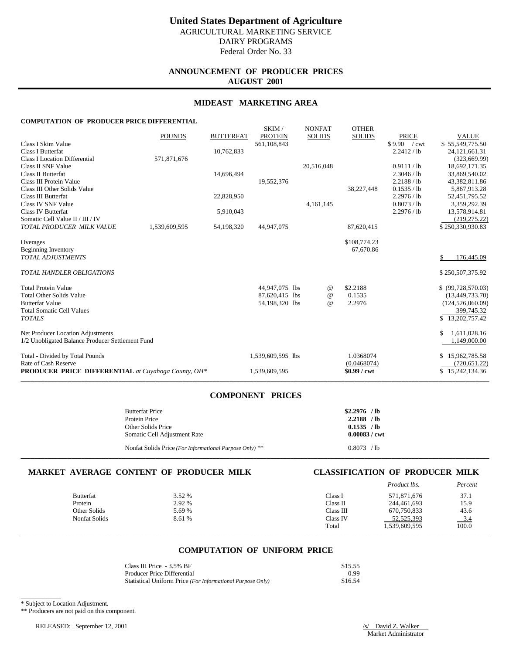# **ANNOUNCEMENT OF PRODUCER PRICES AUGUST 2001**

## **MIDEAST MARKETING AREA**

SKIM / NONEAT OTHER

# **COMPUTATION OF PRODUCER PRICE DIFFERENTIAL**

|                                                            |               |                  | <b>SIXIIVI</b>    | <b>IVOIVEAT</b> | <b>OTTLE</b> N |              |                    |
|------------------------------------------------------------|---------------|------------------|-------------------|-----------------|----------------|--------------|--------------------|
|                                                            | <b>POUNDS</b> | <b>BUTTERFAT</b> | <b>PROTEIN</b>    | <b>SOLIDS</b>   | <b>SOLIDS</b>  | <b>PRICE</b> | <b>VALUE</b>       |
| Class I Skim Value                                         |               |                  | 561,108,843       |                 |                | \$9.90 / cwt | \$55,549,775.50    |
| Class I Butterfat                                          |               | 10,762,833       |                   |                 |                | 2.2412 / lb  | 24, 121, 661. 31   |
| <b>Class I Location Differential</b>                       | 571,871,676   |                  |                   |                 |                |              | (323, 669.99)      |
| Class II SNF Value                                         |               |                  |                   | 20,516,048      |                | 0.9111 / lb  | 18,692,171.35      |
| Class II Butterfat                                         |               | 14,696,494       |                   |                 |                | 2.3046 / lb  | 33,869,540.02      |
| Class III Protein Value                                    |               |                  | 19,552,376        |                 |                | 2.2188 / lb  | 43,382,811.86      |
| Class III Other Solids Value                               |               |                  |                   |                 | 38,227,448     | 0.1535 / lb  | 5,867,913.28       |
| Class III Butterfat                                        |               | 22,828,950       |                   |                 |                | 2.2976 / lb  | 52,451,795.52      |
| Class IV SNF Value                                         |               |                  |                   | 4,161,145       |                | 0.8073 / lb  | 3,359,292.39       |
| <b>Class IV Butterfat</b>                                  |               | 5,910,043        |                   |                 |                | 2.2976 / lb  | 13,578,914.81      |
| Somatic Cell Value II / III / IV                           |               |                  |                   |                 |                |              | (219, 275.22)      |
| TOTAL PRODUCER MILK VALUE                                  | 1,539,609,595 | 54,198,320       | 44,947,075        |                 | 87,620,415     |              | \$250,330,930.83   |
| Overages                                                   |               |                  |                   |                 | \$108,774.23   |              |                    |
| <b>Beginning Inventory</b>                                 |               |                  |                   |                 | 67,670.86      |              |                    |
| <b>TOTAL ADJUSTMENTS</b>                                   |               |                  |                   |                 |                |              | 176,445.09<br>\$   |
| <b>TOTAL HANDLER OBLIGATIONS</b>                           |               |                  |                   |                 |                |              | \$250,507,375.92   |
| <b>Total Protein Value</b>                                 |               |                  | 44,947,075 lbs    | $^{\,a}$        | \$2.2188       |              | \$ (99,728,570.03) |
| <b>Total Other Solids Value</b>                            |               |                  | 87,620,415 lbs    | $^{\omega}{}$   | 0.1535         |              | (13, 449, 733.70)  |
| <b>Butterfat Value</b>                                     |               |                  | 54,198,320 lbs    | $\omega$        | 2.2976         |              | (124, 526, 060.09) |
| <b>Total Somatic Cell Values</b>                           |               |                  |                   |                 |                |              | 399,745.32         |
| <b>TOTALS</b>                                              |               |                  |                   |                 |                |              | \$13,202,757.42    |
| Net Producer Location Adjustments                          |               |                  |                   |                 |                |              | 1,611,028.16<br>\$ |
| 1/2 Unobligated Balance Producer Settlement Fund           |               |                  |                   |                 |                |              | 1,149,000.00       |
| Total - Divided by Total Pounds                            |               |                  | 1,539,609,595 lbs |                 | 1.0368074      |              | 15,962,785.58      |
| Rate of Cash Reserve                                       |               |                  |                   |                 | (0.0468074)    |              | (720, 651.22)      |
| <b>PRODUCER PRICE DIFFERENTIAL</b> at Cuyahoga County, OH* |               |                  | 1,539,609,595     |                 | $$0.99 /$ cwt  |              | \$15,242,134.36    |
|                                                            |               |                  |                   |                 |                |              |                    |

# **COMPONENT PRICES**

| <b>Butterfat Price</b><br>Protein Price<br>Other Solids Price                           | $$2.2976$ /lb<br>$2.2188$ /lb<br>0.1535 / h |  |
|-----------------------------------------------------------------------------------------|---------------------------------------------|--|
| Somatic Cell Adjustment Rate<br>Nonfat Solids Price (For Informational Purpose Only) ** | $0.00083 / \text{cwt}$<br>0.8073 / h        |  |

**\_\_\_\_\_\_\_\_\_\_\_\_\_\_\_\_\_\_\_\_\_\_\_\_\_\_\_\_\_\_\_\_\_\_\_\_\_\_\_\_\_\_\_\_\_\_\_\_\_\_\_\_\_\_\_\_\_\_\_\_\_\_\_\_\_\_\_\_\_\_\_\_\_\_\_\_\_\_\_\_\_\_\_\_\_\_\_\_\_\_\_\_\_\_\_\_\_\_\_\_\_\_\_\_\_\_\_\_\_\_\_\_\_\_\_\_\_\_\_\_\_\_\_\_\_\_\_\_\_\_\_\_\_\_\_\_\_\_\_**

# **MARKET AVERAGE CONTENT OF PRODUCER MILK CLASSIFICATION OF PRODUCER MILK**

|                  |        |           | Product lbs.  | Percent |
|------------------|--------|-----------|---------------|---------|
| <b>Butterfat</b> | 3.52 % | Class I   | 571,871,676   | 37.1    |
| Protein          | 2.92 % | Class II  | 244,461,693   | 15.9    |
| Other Solids     | 5.69 % | Class III | 670,750,833   | 43.6    |
| Nonfat Solids    | 8.61 % | Class IV  | 52, 525, 393  | $-3.4$  |
|                  |        | Total     | 1,539,609,595 | 100.0   |
|                  |        |           |               |         |

# **COMPUTATION OF UNIFORM PRICE**

| Class III Price - 3.5% BF                                  | \$15.55 |
|------------------------------------------------------------|---------|
| Producer Price Differential                                | 0.99    |
| Statistical Uniform Price (For Informational Purpose Only) | \$16.54 |

\_\_\_\_\_\_\_\_\_\_\_\_ \* Subject to Location Adjustment.

\*\* Producers are not paid on this component.

RELEASED: September 12, 2001 /s/ David Z. Walker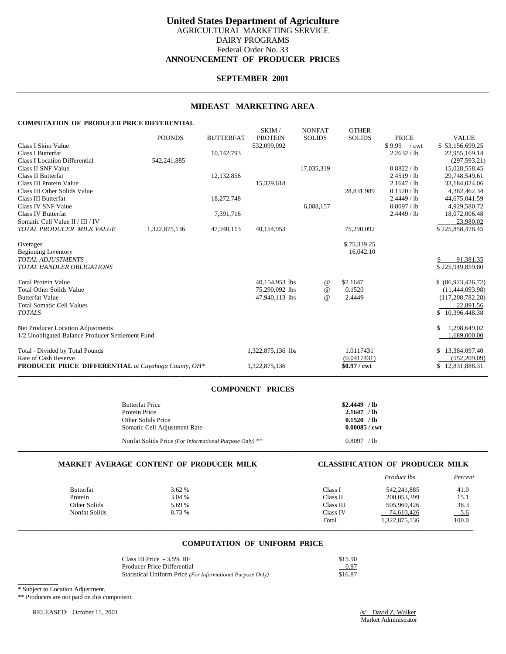# **United States Department of Agriculture** AGRICULTURAL MARKETING SERVICE DAIRY PROGRAMS Federal Order No. 33 **ANNOUNCEMENT OF PRODUCER PRICES**

## **SEPTEMBER 2001**

## **MIDEAST MARKETING AREA**

### **COMPUTATION OF PRODUCER PRICE DIFFERENTIAL**

|                                                            | <b>POUNDS</b> | <b>BUTTERFAT</b> | SKIM/<br><b>PROTEIN</b> | <b>NONFAT</b><br><b>SOLIDS</b> | <b>OTHER</b><br><b>SOLIDS</b> | <b>PRICE</b>                  | <b>VALUE</b>        |
|------------------------------------------------------------|---------------|------------------|-------------------------|--------------------------------|-------------------------------|-------------------------------|---------------------|
| Class I Skim Value                                         |               |                  | 532,099,092             |                                |                               | \$9.99<br>$\sqrt{\text{cwt}}$ | \$53,156,699.25     |
| <b>Class I Butterfat</b>                                   |               | 10,142,793       |                         |                                |                               | 2.2632 / lb                   | 22,955,169.14       |
| <b>Class I Location Differential</b>                       | 542,241,885   |                  |                         |                                |                               |                               | (297, 593.21)       |
| Class II SNF Value                                         |               |                  |                         | 17,035,319                     |                               | 0.8822 / lb                   | 15,028,558.45       |
| Class II Butterfat                                         |               | 12,132,856       |                         |                                |                               | 2.4519 / lb                   | 29,748,549.61       |
| Class III Protein Value                                    |               |                  | 15,329,618              |                                |                               | 2.1647 / lb                   | 33,184,024.06       |
| Class III Other Solids Value                               |               |                  |                         |                                | 28,831,989                    | 0.1520 / lb                   | 4,382,462.34        |
| Class III Butterfat                                        |               | 18,272,748       |                         |                                |                               | 2.4449 / lb                   | 44,675,041.59       |
| Class IV SNF Value                                         |               |                  |                         | 6,088,157                      |                               | 0.8097 / lb                   | 4,929,580.72        |
| <b>Class IV Butterfat</b>                                  |               | 7,391,716        |                         |                                |                               | 2.4449 / lb                   | 18,072,006.48       |
| Somatic Cell Value II / III / IV                           |               |                  |                         |                                |                               |                               | 23,980.02           |
| TOTAL PRODUCER MILK VALUE                                  | 1,322,875,136 | 47,940,113       | 40,154,953              |                                | 75,290,092                    |                               | \$225,858,478.45    |
| Overages                                                   |               |                  |                         |                                | \$75,339.25                   |                               |                     |
| <b>Beginning Inventory</b>                                 |               |                  |                         |                                | 16,042.10                     |                               |                     |
| <b>TOTAL ADJUSTMENTS</b>                                   |               |                  |                         |                                |                               |                               | 91,381.35           |
| TOTAL HANDLER OBLIGATIONS                                  |               |                  |                         |                                |                               |                               | \$225,949,859.80    |
| <b>Total Protein Value</b>                                 |               |                  | 40,154,953 lbs          | $^{\,a}$                       | \$2.1647                      |                               | \$ (86,923,426.72)  |
| <b>Total Other Solids Value</b>                            |               |                  | 75,290,092 lbs          | $\omega$                       | 0.1520                        |                               | (11,444,093.98)     |
| <b>Butterfat Value</b>                                     |               |                  | 47,940,113 lbs          | $\omega$                       | 2.4449                        |                               | (117, 208, 782, 28) |
| <b>Total Somatic Cell Values</b>                           |               |                  |                         |                                |                               |                               | 22,891.56           |
| <b>TOTALS</b>                                              |               |                  |                         |                                |                               |                               | \$10,396,448.38     |
| Net Producer Location Adjustments                          |               |                  |                         |                                |                               |                               | 1,298,649.02        |
| 1/2 Unobligated Balance Producer Settlement Fund           |               |                  |                         |                                |                               |                               | 1,689,000.00        |
| Total - Divided by Total Pounds                            |               |                  | 1,322,875,136 lbs       |                                | 1.0117431                     |                               | \$13,384,097.40     |
| Rate of Cash Reserve                                       |               |                  |                         |                                | (0.0417431)                   |                               | (552, 209.09)       |
| <b>PRODUCER PRICE DIFFERENTIAL</b> at Cuyahoga County, OH* |               |                  | 1,322,875,136           |                                | $$0.97$ / cwt                 |                               | \$12,831,888.31     |

### **COMPONENT PRICES**

| <b>Butterfat Price</b><br>Protein Price<br>Other Solids Price<br>Somatic Cell Adjustment Rate | $$2.4449$ /lb<br>$2.1647$ /lb<br>$0.1520$ /lb<br>$0.00085 / \text{cwt}$ |
|-----------------------------------------------------------------------------------------------|-------------------------------------------------------------------------|
| Nonfat Solids Price (For Informational Purpose Only) **                                       | 0.8097 / lb                                                             |

## **MARKET AVERAGE CONTENT OF PRODUCER MILK CLASSIFICATION OF PRODUCER MILK**

|                  |        |           | Product lbs.  | Percent |
|------------------|--------|-----------|---------------|---------|
| <b>Butterfat</b> | 3.62%  | Class I   | 542,241,885   | 41.0    |
| Protein          | 3.04 % | Class II  | 200,053,399   | 15.1    |
| Other Solids     | 5.69 % | Class III | 505,969,426   | 38.3    |
| Nonfat Solids    | 8.73 % | Class IV  | 74,610,426    | $-5.6$  |
|                  |        | Total     | 1,322,875,136 | 100.0   |
|                  |        |           |               |         |

# **COMPUTATION OF UNIFORM PRICE**

| Class III Price - 3.5% BF                                  | \$15.90 |
|------------------------------------------------------------|---------|
| Producer Price Differential                                | 0.97    |
| Statistical Uniform Price (For Informational Purpose Only) | \$16.87 |

\_\_\_\_\_\_\_\_\_\_\_\_ \* Subject to Location Adjustment.

\*\* Producers are not paid on this component.

RELEASED: October 11, 2001 /s/ David Z. Walker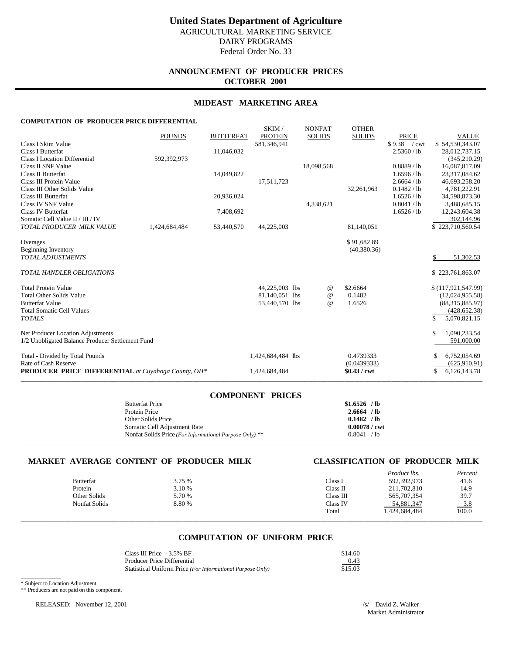# **ANNOUNCEMENT OF PRODUCER PRICES OCTOBER 2001**

## **MIDEAST MARKETING AREA**

SKIM / NONEAT OTHER

### **COMPUTATION OF PRODUCER PRICE DIFFERENTIAL**

|                                                            |               |                  | JAINI /           | <b>INVINEAT</b> | <b>UILLA</b>  |                |                    |
|------------------------------------------------------------|---------------|------------------|-------------------|-----------------|---------------|----------------|--------------------|
|                                                            | <b>POUNDS</b> | <b>BUTTERFAT</b> | <b>PROTEIN</b>    | <b>SOLIDS</b>   | <b>SOLIDS</b> | <b>PRICE</b>   | <b>VALUE</b>       |
| Class I Skim Value                                         |               |                  | 581,346,941       |                 |               | \$9.38<br>/cwt | \$54,530,343.07    |
| <b>Class I Butterfat</b>                                   |               | 11,046,032       |                   |                 |               | 2.5360 / lb    | 28,012,737.15      |
| <b>Class I Location Differential</b>                       | 592,392,973   |                  |                   |                 |               |                | (345, 210.29)      |
| Class II SNF Value                                         |               |                  |                   | 18,098,568      |               | 0.8889 / lb    | 16,087,817.09      |
| <b>Class II Butterfat</b>                                  |               | 14,049,822       |                   |                 |               | 1.6596 / lb    | 23,317,084.62      |
| Class III Protein Value                                    |               |                  | 17,511,723        |                 |               | 2.6664 / lb    | 46,693,258.20      |
| Class III Other Solids Value                               |               |                  |                   |                 | 32,261,963    | 0.1482 / lb    | 4,781,222.91       |
| Class III Butterfat                                        |               | 20,936,024       |                   |                 |               | 1.6526 / lb    | 34,598,873.30      |
| Class IV SNF Value                                         |               |                  |                   | 4,338,621       |               | 0.8041 / lb    | 3,488,685.15       |
| <b>Class IV Butterfat</b>                                  |               | 7,408,692        |                   |                 |               | 1.6526 / lb    | 12,243,604.38      |
| Somatic Cell Value II / III / IV                           |               |                  |                   |                 |               |                | 302,144.96         |
| TOTAL PRODUCER MILK VALUE                                  | 1,424,684,484 | 53,440,570       | 44,225,003        |                 | 81,140,051    |                | \$223,710,560.54   |
| Overages                                                   |               |                  |                   |                 | \$91,682.89   |                |                    |
| <b>Beginning Inventory</b>                                 |               |                  |                   |                 | (40, 380, 36) |                |                    |
| <b>TOTAL ADJUSTMENTS</b>                                   |               |                  |                   |                 |               |                | 51,302.53          |
| <b>TOTAL HANDLER OBLIGATIONS</b>                           |               |                  |                   |                 |               |                | \$223,761,863.07   |
| <b>Total Protein Value</b>                                 |               |                  | 44,225,003 lbs    | @               | \$2.6664      |                | \$(117,921,547.99) |
| <b>Total Other Solids Value</b>                            |               |                  | 81,140,051 lbs    | $^{\copyright}$ | 0.1482        |                | (12,024,955.58)    |
| <b>Butterfat Value</b>                                     |               |                  | 53,440,570 lbs    | $\omega$        | 1.6526        |                | (88, 315, 885.97)  |
| <b>Total Somatic Cell Values</b>                           |               |                  |                   |                 |               |                | (428, 652.38)      |
| <b>TOTALS</b>                                              |               |                  |                   |                 |               |                | 5,070,821.15       |
| Net Producer Location Adjustments                          |               |                  |                   |                 |               |                | 1,090,233.54<br>\$ |
| 1/2 Unobligated Balance Producer Settlement Fund           |               |                  |                   |                 |               |                | 591,000.00         |
| Total - Divided by Total Pounds                            |               |                  | 1,424,684,484 lbs |                 | 0.4739333     |                | 6,752,054.69       |
| Rate of Cash Reserve                                       |               |                  |                   |                 | (0.0439333)   |                | (625, 910.91)      |
| <b>PRODUCER PRICE DIFFERENTIAL</b> at Cuyahoga County, OH* |               |                  | 1,424,684,484     |                 | \$0.43 / cwt  |                | 6,126,143.78<br>\$ |
|                                                            |               |                  |                   |                 |               |                |                    |

| <b>COMPONENT PRICES</b>                                 |                        |
|---------------------------------------------------------|------------------------|
| <b>Butterfat Price</b>                                  | $$1.6526$ /lb          |
| Protein Price                                           | $2.6664$ /lb           |
| Other Solids Price                                      | 0.1482 / lb            |
| Somatic Cell Adjustment Rate                            | $0.00078 / \text{cwt}$ |
| Nonfat Solids Price (For Informational Purpose Only) ** | 0.8041 / lb            |
|                                                         |                        |

# **MARKET AVERAGE CONTENT OF PRODUCER MILK CLASSIFICATION OF PRODUCER MILK**

| <b>Butterfat</b>     | 3.75 % | Class I   | <i>Product lbs.</i><br>592,392,973 | Percent<br>41.6     |
|----------------------|--------|-----------|------------------------------------|---------------------|
|                      |        |           |                                    |                     |
| Protein              | 3.10 % | Class II  | 211,702,810                        | 14.9                |
| Other Solids         | 5.70 % | Class III | 565,707,354                        | 39.7                |
| <b>Nonfat Solids</b> | 8.80%  | Class IV  | 54,881,347                         | $\frac{3.8}{100.0}$ |
|                      |        | Total     | 1.424.684.484                      |                     |
|                      |        |           |                                    |                     |

## **COMPUTATION OF UNIFORM PRICE**

| Class III Price - 3.5% BF                                  | \$14.60 |
|------------------------------------------------------------|---------|
| Producer Price Differential                                | 0.43    |
| Statistical Uniform Price (For Informational Purpose Only) | \$15.03 |

\* Subject to Location Adjustment.

\_\_\_\_\_\_\_\_\_\_\_\_

\*\* Producers are not paid on this component.

RELEASED: November 12, 2001 /s/ David Z. Walker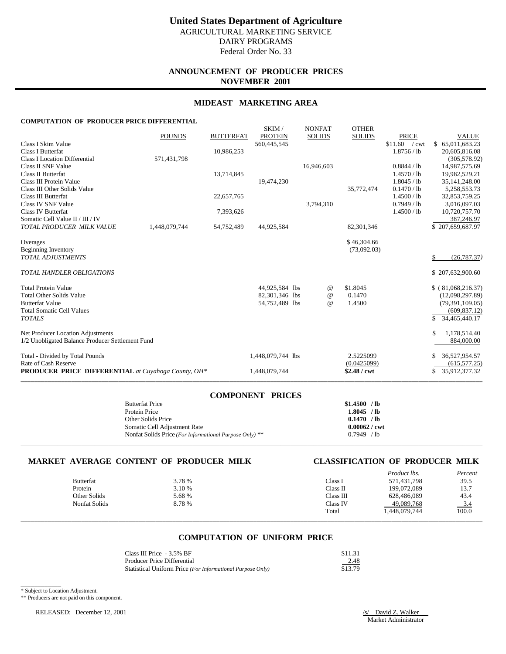# **ANNOUNCEMENT OF PRODUCER PRICES NOVEMBER 2001**

## **MIDEAST MARKETING AREA**

SKIM / NONEAT OTHER

### **COMPUTATION OF PRODUCER PRICE DIFFERENTIAL**

|                                                            |               |                  | <b>SIMBLE</b>     | NUNLAI        | <b>OTTLE</b> N |                       |                     |
|------------------------------------------------------------|---------------|------------------|-------------------|---------------|----------------|-----------------------|---------------------|
|                                                            | <b>POUNDS</b> | <b>BUTTERFAT</b> | <b>PROTEIN</b>    | <b>SOLIDS</b> | <b>SOLIDS</b>  | <b>PRICE</b>          | <b>VALUE</b>        |
| Class I Skim Value                                         |               |                  | 560,445,545       |               |                | \$11.60<br>/cwt       | \$65,011,683.23     |
| <b>Class I Butterfat</b>                                   |               | 10,986,253       |                   |               |                | 1.8756 / lb           | 20,605,816.08       |
| <b>Class I Location Differential</b>                       | 571,431,798   |                  |                   |               |                |                       | (305, 578.92)       |
| Class II SNF Value                                         |               |                  |                   | 16,946,603    |                | 0.8844 / lb           | 14,987,575.69       |
| Class II Butterfat                                         |               | 13,714,845       |                   |               |                | 1.4570 / lb           | 19,982,529.21       |
| Class III Protein Value                                    |               |                  | 19,474,230        |               |                | 1.8045 / lb           | 35, 141, 248.00     |
| Class III Other Solids Value                               |               |                  |                   |               | 35,772,474     | 0.1470 / lb           | 5,258,553.73        |
| <b>Class III Butterfat</b>                                 |               | 22,657,765       |                   |               |                | 1.4500 / lb           | 32,853,759.25       |
| Class IV SNF Value                                         |               |                  |                   | 3,794,310     |                | 0.7949/1 <sub>b</sub> | 3,016,097.03        |
| <b>Class IV Butterfat</b>                                  |               | 7,393,626        |                   |               |                | 1.4500 / lb           | 10,720,757.70       |
| Somatic Cell Value II / III / IV                           |               |                  |                   |               |                |                       | 387,246.97          |
| TOTAL PRODUCER MILK VALUE                                  | 1,448,079,744 | 54,752,489       | 44,925,584        |               | 82,301,346     |                       | \$207.659.687.97    |
| Overages                                                   |               |                  |                   |               | \$46,304.66    |                       |                     |
| <b>Beginning Inventory</b>                                 |               |                  |                   |               | (73,092.03)    |                       |                     |
| <b>TOTAL ADJUSTMENTS</b>                                   |               |                  |                   |               |                |                       | (26, 787.37)        |
|                                                            |               |                  |                   |               |                |                       |                     |
| <b>TOTAL HANDLER OBLIGATIONS</b>                           |               |                  |                   |               |                |                       | \$207,632,900.60    |
| <b>Total Protein Value</b>                                 |               |                  | 44,925,584 lbs    | $^{\circ}$    | \$1.8045       |                       | \$ (81,068,216.37)  |
| <b>Total Other Solids Value</b>                            |               |                  | 82,301,346 lbs    | $\omega$      | 0.1470         |                       | (12,098,297.89)     |
| <b>Butterfat Value</b>                                     |               |                  | 54,752,489 lbs    | $\omega$      | 1.4500         |                       | (79, 391, 109.05)   |
| <b>Total Somatic Cell Values</b>                           |               |                  |                   |               |                |                       | (609, 837.12)       |
| <b>TOTALS</b>                                              |               |                  |                   |               |                |                       | 34,465,440.17       |
|                                                            |               |                  |                   |               |                |                       |                     |
| Net Producer Location Adjustments                          |               |                  |                   |               |                |                       | 1,178,514.40<br>\$  |
| 1/2 Unobligated Balance Producer Settlement Fund           |               |                  |                   |               |                |                       | 884,000.00          |
| Total - Divided by Total Pounds                            |               |                  | 1,448,079,744 lbs |               | 2.5225099      |                       | 36,527,954.57       |
| Rate of Cash Reserve                                       |               |                  |                   |               | (0.0425099)    |                       | (615, 577, 25)      |
| <b>PRODUCER PRICE DIFFERENTIAL</b> at Cuyahoga County, OH* |               |                  | 1,448,079,744     |               | $$2.48$ / cwt  |                       | 35,912,377.32<br>\$ |
|                                                            |               |                  |                   |               |                |                       |                     |

| <b>COMPONENT PRICES</b>                                 |                        |
|---------------------------------------------------------|------------------------|
| <b>Butterfat Price</b>                                  | \$1.4500 / lb          |
| Protein Price                                           | $1.8045$ /lb           |
| Other Solids Price                                      | 0.1470 / lb            |
| Somatic Cell Adjustment Rate                            | $0.00062 / \text{cwt}$ |
| Nonfat Solids Price (For Informational Purpose Only) ** | $0.7949$ /lb           |
|                                                         |                        |

# **MARKET AVERAGE CONTENT OF PRODUCER MILK CLASSIFICATION OF PRODUCER MILK**

|                      |        |           | <i>Product lbs.</i> | Percent             |
|----------------------|--------|-----------|---------------------|---------------------|
| <b>Butterfat</b>     | 3.78 % | Class I   | 571,431,798         | 39.5                |
| Protein              | 3.10 % | Class II  | 199,072,089         | 13.7                |
| Other Solids         | 5.68 % | Class III | 628,486,089         | 43.4                |
| <b>Nonfat Solids</b> | 8.78 % | Class IV  | 49,089,768          | $\frac{3.4}{100.0}$ |
|                      |        | Total     | 1,448,079,744       |                     |
|                      |        |           |                     |                     |

## **COMPUTATION OF UNIFORM PRICE**

| Class III Price - 3.5% BF                                  | \$11.31 |
|------------------------------------------------------------|---------|
| Producer Price Differential                                | 2.48    |
| Statistical Uniform Price (For Informational Purpose Only) | \$13.79 |

\_\_\_\_\_\_\_\_\_\_\_\_ \* Subject to Location Adjustment.

\*\* Producers are not paid on this component.

RELEASED: December 12, 2001 /s/ David Z. Walker